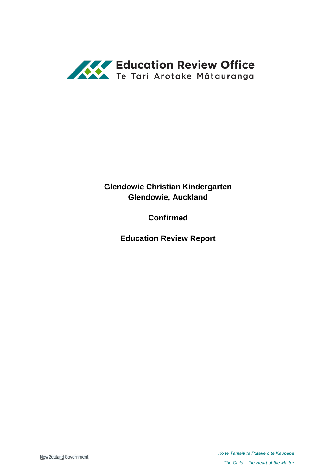

# **Glendowie Christian Kindergarten Glendowie, Auckland**

**Confirmed**

**Education Review Report**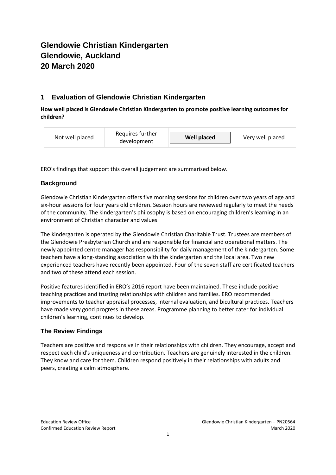# **Glendowie Christian Kindergarten Glendowie, Auckland 20 March 2020**

# **1 Evaluation of Glendowie Christian Kindergarten**

**How well placed is Glendowie Christian Kindergarten to promote positive learning outcomes for children?**

| Not well placed | Requires further<br>development | <b>Well placed</b> | Very well placed |
|-----------------|---------------------------------|--------------------|------------------|
|-----------------|---------------------------------|--------------------|------------------|

ERO's findings that support this overall judgement are summarised below.

## **Background**

Glendowie Christian Kindergarten offers five morning sessions for children over two years of age and six-hour sessions for four years old children. Session hours are reviewed regularly to meet the needs of the community. The kindergarten's philosophy is based on encouraging children's learning in an environment of Christian character and values.

The kindergarten is operated by the Glendowie Christian Charitable Trust. Trustees are members of the Glendowie Presbyterian Church and are responsible for financial and operational matters. The newly appointed centre manager has responsibility for daily management of the kindergarten. Some teachers have a long-standing association with the kindergarten and the local area. Two new experienced teachers have recently been appointed. Four of the seven staff are certificated teachers and two of these attend each session.

Positive features identified in ERO's 2016 report have been maintained. These include positive teaching practices and trusting relationships with children and families. ERO recommended improvements to teacher appraisal processes, internal evaluation, and bicultural practices. Teachers have made very good progress in these areas. Programme planning to better cater for individual children's learning, continues to develop.

## **The Review Findings**

Teachers are positive and responsive in their relationships with children. They encourage, accept and respect each child's uniqueness and contribution. Teachers are genuinely interested in the children. They know and care for them. Children respond positively in their relationships with adults and peers, creating a calm atmosphere.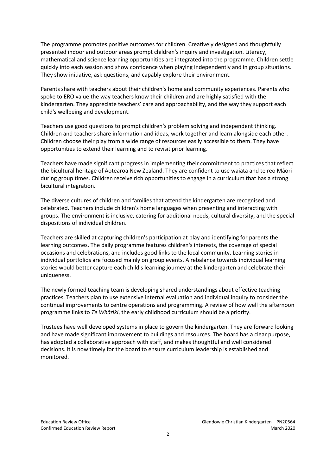The programme promotes positive outcomes for children. Creatively designed and thoughtfully presented indoor and outdoor areas prompt children's inquiry and investigation. Literacy, mathematical and science learning opportunities are integrated into the programme. Children settle quickly into each session and show confidence when playing independently and in group situations. They show initiative, ask questions, and capably explore their environment.

Parents share with teachers about their children's home and community experiences. Parents who spoke to ERO value the way teachers know their children and are highly satisfied with the kindergarten. They appreciate teachers' care and approachability, and the way they support each child's wellbeing and development.

Teachers use good questions to prompt children's problem solving and independent thinking. Children and teachers share information and ideas, work together and learn alongside each other. Children choose their play from a wide range of resources easily accessible to them. They have opportunities to extend their learning and to revisit prior learning.

Teachers have made significant progress in implementing their commitment to practices that reflect the bicultural heritage of Aotearoa New Zealand. They are confident to use waiata and te reo Māori during group times. Children receive rich opportunities to engage in a curriculum that has a strong bicultural integration.

The diverse cultures of children and families that attend the kindergarten are recognised and celebrated. Teachers include children's home languages when presenting and interacting with groups. The environment is inclusive, catering for additional needs, cultural diversity, and the special dispositions of individual children.

Teachers are skilled at capturing children's participation at play and identifying for parents the learning outcomes. The daily programme features children's interests, the coverage of special occasions and celebrations, and includes good links to the local community. Learning stories in individual portfolios are focused mainly on group events. A rebalance towards individual learning stories would better capture each child's learning journey at the kindergarten and celebrate their uniqueness.

The newly formed teaching team is developing shared understandings about effective teaching practices. Teachers plan to use extensive internal evaluation and individual inquiry to consider the continual improvements to centre operations and programming. A review of how well the afternoon programme links to *Te Whāriki*, the early childhood curriculum should be a priority.

Trustees have well developed systems in place to govern the kindergarten. They are forward looking and have made significant improvement to buildings and resources. The board has a clear purpose, has adopted a collaborative approach with staff, and makes thoughtful and well considered decisions. It is now timely for the board to ensure curriculum leadership is established and monitored.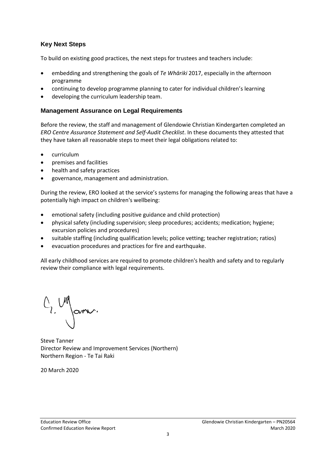#### **Key Next Steps**

To build on existing good practices, the next steps for trustees and teachers include:

- embedding and strengthening the goals of *Te Whāriki* 2017, especially in the afternoon programme
- continuing to develop programme planning to cater for individual children's learning
- developing the curriculum leadership team.

#### **Management Assurance on Legal Requirements**

Before the review, the staff and management of Glendowie Christian Kindergarten completed an *ERO Centre Assurance Statement and Self-Audit Checklist*. In these documents they attested that they have taken all reasonable steps to meet their legal obligations related to:

- curriculum
- premises and facilities
- health and safety practices
- governance, management and administration.

During the review, ERO looked at the service's systems for managing the following areas that have a potentially high impact on children's wellbeing:

- emotional safety (including positive guidance and child protection)
- physical safety (including supervision; sleep procedures; accidents; medication; hygiene; excursion policies and procedures)
- suitable staffing (including qualification levels; police vetting; teacher registration; ratios)
- evacuation procedures and practices for fire and earthquake.

All early childhood services are required to promote children's health and safety and to regularly review their compliance with legal requirements.

G. Un James.

Steve Tanner Director Review and Improvement Services (Northern) Northern Region - Te Tai Raki

20 March 2020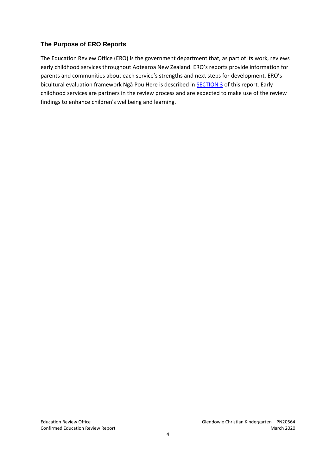#### **The Purpose of ERO Reports**

The Education Review Office (ERO) is the government department that, as part of its work, reviews early childhood services throughout Aotearoa New Zealand. ERO's reports provide information for parents and communities about each service's strengths and next steps for development. ERO's bicultural evaluation framework Ngā Pou Here is described in **[SECTION 3](#page-6-0)** of this report. Early childhood services are partners in the review process and are expected to make use of the review findings to enhance children's wellbeing and learning.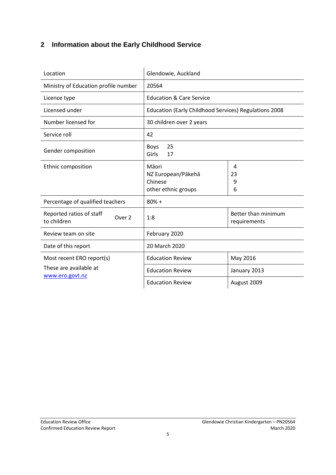# **2 Information about the Early Childhood Service**

| Location                                          | Glendowie, Auckland                                           |                                     |  |
|---------------------------------------------------|---------------------------------------------------------------|-------------------------------------|--|
| Ministry of Education profile number              | 20564                                                         |                                     |  |
| Licence type                                      | <b>Education &amp; Care Service</b>                           |                                     |  |
| Licensed under                                    | Education (Early Childhood Services) Regulations 2008         |                                     |  |
| Number licensed for                               | 30 children over 2 years                                      |                                     |  |
| Service roll                                      | 42                                                            |                                     |  |
| Gender composition                                | 25<br>Boys<br>Girls<br>17                                     |                                     |  |
| Ethnic composition                                | Māori<br>NZ European/Pākehā<br>Chinese<br>other ethnic groups | 4<br>23<br>9<br>6                   |  |
| Percentage of qualified teachers                  | $80% +$                                                       |                                     |  |
| Reported ratios of staff<br>Over 2<br>to children | 1:8                                                           | Better than minimum<br>requirements |  |
| Review team on site                               | February 2020                                                 |                                     |  |
| Date of this report                               | 20 March 2020                                                 |                                     |  |
| Most recent ERO report(s)                         | <b>Education Review</b>                                       | May 2016                            |  |
| These are available at                            | <b>Education Review</b>                                       | January 2013                        |  |
| www.ero.govt.nz                                   | <b>Education Review</b>                                       | August 2009                         |  |